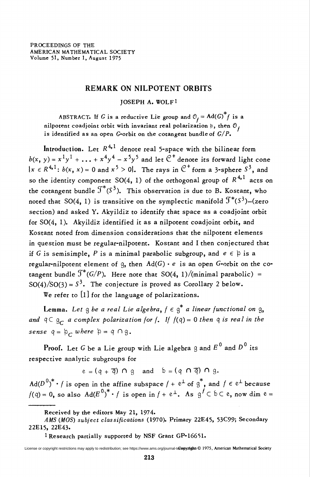## REMARK ON NILPOTENT ORBITS

## JOSEPH A. WOLFl

ABSTRACT. If G is a reductive Lie group and  $\mathcal{O}_f = \mathrm{Ad}(G)$  f is a nilpotent coadjoint orbit with invariant real polarization  $\mathfrak{p},$  then  $\mathfrak{O}_I$ is identified as an open G-orbit on the cotangent bundle of  $G/P$ .

Introduction. Let  $R^{4,1}$  denote real 5-space with the bilinear form  $b(x, y) = x<sup>1</sup>y<sup>1</sup> + ... + x<sup>4</sup>y<sup>4</sup> - x<sup>5</sup>y<sup>5</sup>$  and let  $\mathbb{C}^+$  denote its forward light cone  $\{x \in \mathbb{R}^{4,1}: b(x, x) = 0 \text{ and } x^5 > 0\}$ . The rays in  $\mathbb{C}^+$  form a 3-sphere  $\mathbb{S}^3$ , and so the identity component SO(4, 1) of the orthogonal group of  $R^{4,1}$  acts on the cotangent bundle  $\mathcal{T}^{*}(S^{3})$ . This observation is due to B. Kostant, who noted that SO(4, 1) is transitive on the symplectic manifold  $\mathcal{J}^*(S^3)$ -(zero section) and asked Y. Akyildiz to identify that space as a coadjoint orbit for SO(4, 1). Akyildiz identified it as a nilpotent coadjoint orbit, and Kostant noted from dimension considerations that the nilpotent elements in question must be regular-nilpotent. Kostant and I then conjectured that if G is semisimple, P is a minimal parabolic subgroup, and  $e \in \beta$  is a regular-nilpotent element of q, then  $Ad(G) \cdot e$  is an open G-orbit on the cotangent bundle  $\mathcal{J}^*(G/P)$ . Here note that SO(4, 1)/(minimal parabolic) =  $SO(4)/SO(3) = S<sup>3</sup>$ . The conjecture is proved as Corollary 2 below.

We refer to [l] for the language of polarizations.

**Lemma.** Let g be a real Lie algebra,  $f \in g^*$  a linear functional on g, and  $q \subset g_c$  a complex polarization for f. If  $f(q) = 0$  then q is real in the sense  $q = \mathfrak{p}_c$  where  $\mathfrak{p} = q \cap g$ .

Proof. Let G be a Lie group with Lie algebra g and  $E^0$  and  $D^0$  its respective analytic subgroups for

 $e = (q + \overline{q}) \cap q$  and  $b = (q \cap \overline{q}) \cap q$ .

 $\text{Ad}(D^0)^* \cdot f$  is open in the affine subspace  $f + e^{\perp}$  of  $g^*$ , and  $f \in e^{\perp}$  because  $f(q) = 0$ , so also  $\text{Ad}(E^0)^* \cdot f$  is open in  $f + e^{\perp}$ . As  $g^f \subset b \subset e$ , now dim  $e =$ 

Received by the editors May 21, 1974.

1 Research partially supported by NSF Grant GP-16651.

AMS (MOS) subject classifications (1970). Primary 22E45, 53C99; Secondary 22E15, 22E43.

License or copyright restrictions may apply to redistribution; see https://www.ams.org/journal-t**ere gyorights** © 1975, American Mathematical Society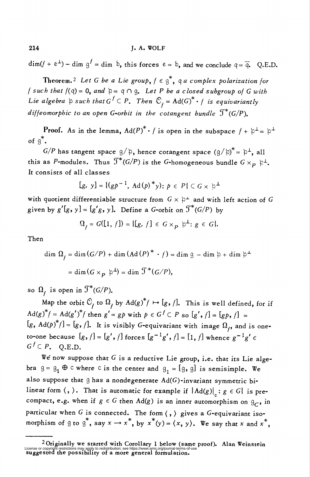$\dim(f + e^{\perp}) - \dim g' = \dim b$ , this forces  $e = b$ , and we conclude  $q = \overline{q}$ . Q.E.D.

Theorem.<sup>2</sup> Let G be a Lie group,  $f \in g^*$ , q a complex polarization for f such that  $f(q) = 0$ , and  $\beta = q \cap q$ . Let P be a closed subgroup of G with Lie algebra  $\beta$  such that  $G^f \subset P$ . Then  $\mathbb{C}_f = \text{Ad}(G)^* \cdot f$  is equivariantly diffeomorphic to an open G-orbit in the cotangent bundle  $\mathcal{T}^*(G/P)$ .

**Proof.** As in the lemma,  $Ad(P)^* \cdot f$  is open in the subspace  $f + \beta^{\perp} = \beta^{\perp}$ of  $g^*$ .

 $G/P$  has tangent space  $g/\beta$ , hence cotangent space  $(g/\beta)^* = \beta^{\perp}$ , all this as P-modules. Thus  $\mathcal{T}^*(G/P)$  is the G-homogeneous bundle  $G \times_{\mathbf{p}} \xi^{\perp}$ . It consists of all classes

$$
[g, y] = \{ (gp^{-1}, \mathrm{Ad}(p) * y) : p \in P \} \subset G \times \mathfrak{p}^{\perp}
$$

with quotient differentiable structure from  $G \times \mathfrak{p}^+$  and with left action of G given by  $g'[g, y] = [g'g, y]$ . Define a G-orbit on  $\mathcal{T}^*(G/P)$  by

$$
\Omega_f = G([1, f]) = \{ [g, f] \in G \times_p \mathfrak{p}^{\perp} : g \in G \}.
$$

Then

dim  $\Omega_f = \dim (G/P) + \dim (Ad(P)^* \cdot f) = \dim g - \dim \mathfrak{h} + \dim \mathfrak{h}^{\perp}$  $=\dim(G \times_{\mathbf{p}} \mathfrak{p}^{\perp}) = \dim \mathcal{F}^{*}(G/P),$ 

so  $\Omega$ , is open in  $\mathfrak{T}^*(G/P)$ .

Map the orbit  $\mathcal{O}_t$  to  $\Omega_t$  by  $\text{Ad}(g)^*/ \mapsto [g, f]$ . This is well defined, for if  $\text{Ad}(g)^{*} f = \text{Ad}(g')^{*} f$  then  $g' = g p$  with  $p \in G^{f} \subset P$  so  $[g', f] = [gp, f]$  $[g, \text{Ad}(p)^*/] = [g, f]$ . It is visibly G-equivariant with image  $\Omega_f$ , and is oneto-one because  $[g, f] = [g', f]$  forces  $[g^{-1}g', f] = [1, f]$  whence  $g^{-1}g' \in$  $G^f \subset P$ . O.E.D.

We now suppose that  $G$  is a reductive Lie group, i.e. that its Lie algebra  $g = g_1 \oplus c$  where c is the center and  $g_1 = [g, g]$  is semisimple. We also suppose that  $g$  has a nondegenerate  $Ad(G)$ -invariant symmetric bilinear form  $\langle$ ,  $\rangle$ . That is automatic for example if  ${Ad(g)|}_c : g \in G$  is precompact, e.g. when if  $g \in G$  then  $Ad(g)$  is an inner automorphism on  $g_C$ , in particular when G is connected. The form  $\langle , \rangle$  gives a G-equivariant isomorphism of g to  $g^*$ , say  $x \to x^*$ , by  $x^*(y) = \langle x, y \rangle$ . We say that x and  $x^*$ ,

<sup>2</sup> Originally we started with Corollary 1 below (same proof). Alan Weinstein License or copyright restrictions may apply to redistribution; see https://www.ams.org/journal-terms-of-use<br>Suggested the possibility of a more general formulation.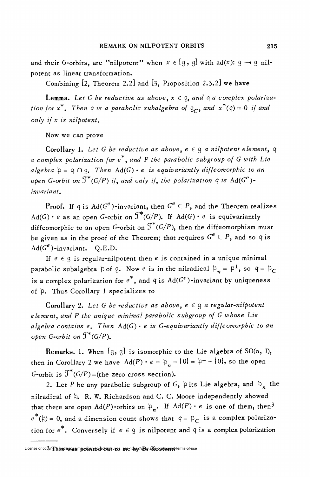and their G-orbits, are "nilpotent" when  $x \in [g, g]$  with ad(x):  $g \rightarrow g$  nilpotent as linear transformation.

Combining [2, Theorem 2.2] and [3, Proposition 2.3.2] we have

Lemma. Let G be reductive as above,  $x \in \mathfrak{g}$ , and  $q$  a complex polarization for  $x^*$ . Then q is a parabolic subalgebra of  $\mathcal{G}_C$ , and  $x^*(q) = 0$  if and only if x is nilpotent.

Now we can prove

Corollary 1. Let G be reductive as above,  $e \in \mathfrak{g}$  a nilpotent element,  $\mathfrak{q}$ a complex polarization for  $e^*$ , and P the parabolic subgroup of G with Lie algebra  $\beta = q \cap q$ . Then Ad(G)  $\cdot$  e is equivariantly diffeomorphic to an open G-orbit on  $\mathfrak{I}^*(G/P)$  if, and only if, the polarization  $q$  is  $\text{Ad}(G^e)$ invariant.

Proof. If  $q$  is  $Ad(G^e)$ -invariant, then  $G^e \subset P$ , and the Theorem realizes  $Ad(G) \cdot e$  as an open G-orbit on  $\mathfrak{I}^*(G/P)$ . If  $Ad(G) \cdot e$  is equivariantly diffeomorphic to an open G-orbit on  $\mathfrak{I}^{*}(G/P)$ , then the diffeomorphism must be given as in the proof of the Theorem; that requires  $G^e \subset P$ , and so  $q$  is  $\text{Ad}(G^e)$ -invariant. Q.E.D.

If  $e \in \mathfrak{g}$  is regular-nilpotent then  $e$  is contained in a unique minimal parabolic subalgebra  $\beta$  of g. Now e is in the nilradical  $\beta_n = \beta^{\perp}$ , so  $q = \beta_C$ is a complex polarization for  $e^*$ , and q is  $\text{Ad}(G^e)$ -invariant by uniqueness of  $\beta$ . Thus Corollary 1 specializes to

Corollary 2. Let G be reductive as above,  $e \in \mathfrak{g}$  a regular-nilpotent element, and P the unique minimal parabolic subgroup of G whose Lie algebra contains e. Then  $Ad(G) \cdot e$  is G-equivariantly diffeomorphic to an open G-orbit on  $\mathfrak{J}^*(G/P)$ .

Remarks. 1. When  $[g, g]$  is isomorphic to the Lie algebra of SO(n, 1), then in Corollary 2 we have  $\text{Ad}(P) \cdot e = \mathfrak{p}_n - \{0\} = \mathfrak{p}^{\perp} - \{0\}$ , so the open G-orbit is  $\mathfrak{I}^*(G/P)$  – (the zero cross section).

2. Let P be any parabolic subgroup of G,  $\beta$  its Lie algebra, and  $\beta_n$  the nilradical of  $\beta$ . R. W. Richardson and C. C. Moore independently showed that there are open  $Ad(P)$ -orbits on  $\mathfrak{p}_n$ . If  $Ad(P) \cdot e$  is one of them, then<sup>3</sup>  $e^*(\phi) = 0$ , and a dimension count shows that  $q = \phi_c$  is a complex polarization for  $e^*$ . Conversely if  $e \in \mathfrak{g}$  is nilpotent and  $\mathfrak{q}$  is a complex polarization